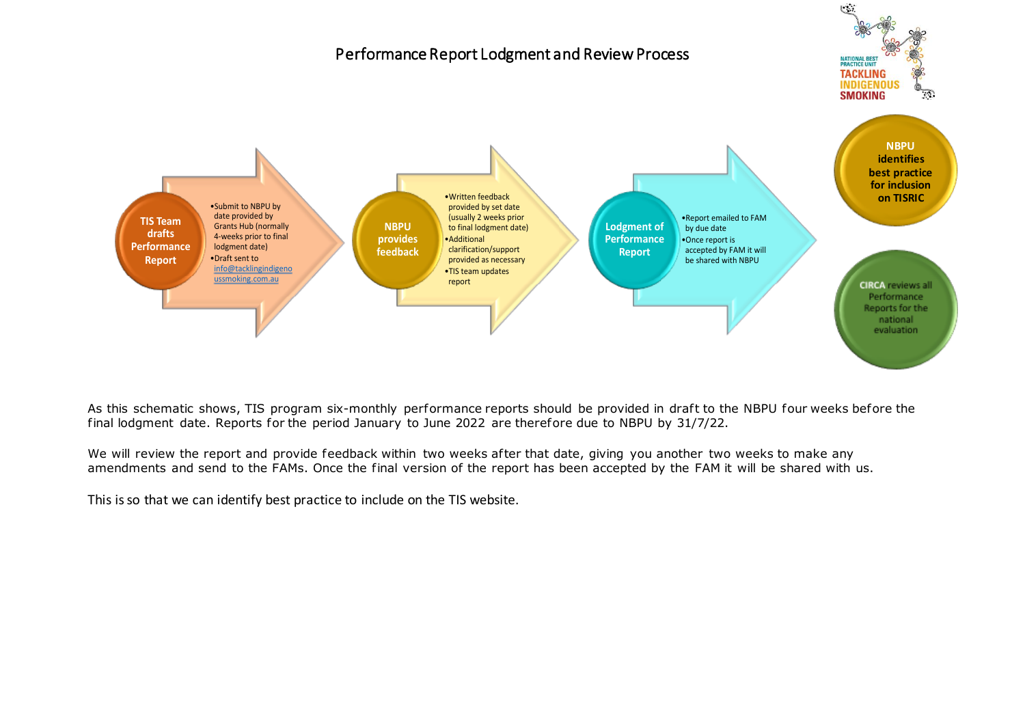

As this schematic shows, TIS program six-monthly performance reports should be provided in draft to the NBPU four weeks before the final lodgment date. Reports for the period January to June 2022 are therefore due to NBPU by 31/7/22.

We will review the report and provide feedback within two weeks after that date, giving you another two weeks to make any amendments and send to the FAMs. Once the final version of the report has been accepted by the FAM it will be shared with us.

This is so that we can identify best practice to include on the TIS website.